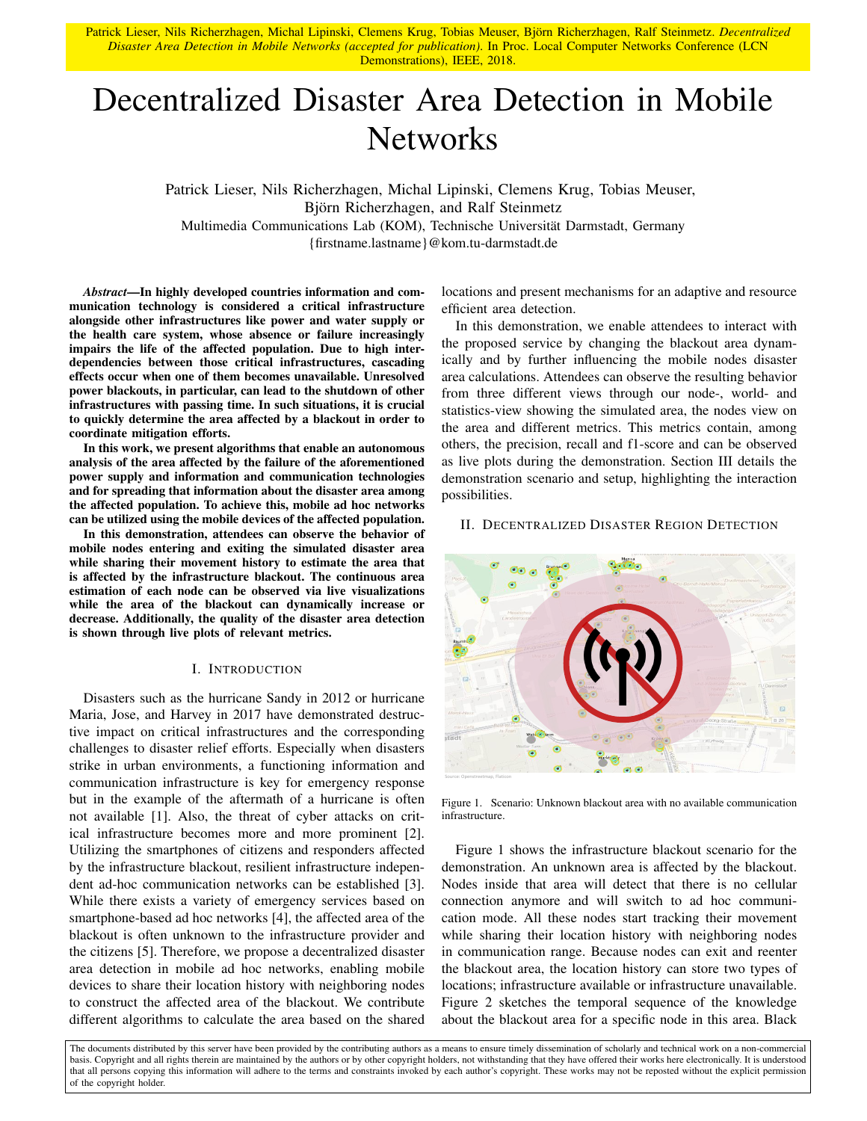Patrick Lieser, Nils Richerzhagen, Michal Lipinski, Clemens Krug, Tobias Meuser, Björn Richerzhagen, Ralf Steinmetz. *Decentralized Disaster Area Detection in Mobile Networks (accepted for publication)*. In Proc. Local Computer Networks Conference (LCN Demonstrations), IEEE, 2018.

# Decentralized Disaster Area Detection in Mobile **Networks**

Patrick Lieser, Nils Richerzhagen, Michal Lipinski, Clemens Krug, Tobias Meuser, Björn Richerzhagen, and Ralf Steinmetz Multimedia Communications Lab (KOM), Technische Universität Darmstadt, Germany {firstname.lastname}@kom.tu-darmstadt.de

*Abstract*—In highly developed countries information and communication technology is considered a critical infrastructure alongside other infrastructures like power and water supply or the health care system, whose absence or failure increasingly impairs the life of the affected population. Due to high interdependencies between those critical infrastructures, cascading effects occur when one of them becomes unavailable. Unresolved power blackouts, in particular, can lead to the shutdown of other infrastructures with passing time. In such situations, it is crucial to quickly determine the area affected by a blackout in order to coordinate mitigation efforts.

In this work, we present algorithms that enable an autonomous analysis of the area affected by the failure of the aforementioned power supply and information and communication technologies and for spreading that information about the disaster area among the affected population. To achieve this, mobile ad hoc networks can be utilized using the mobile devices of the affected population.

In this demonstration, attendees can observe the behavior of mobile nodes entering and exiting the simulated disaster area while sharing their movement history to estimate the area that is affected by the infrastructure blackout. The continuous area estimation of each node can be observed via live visualizations while the area of the blackout can dynamically increase or decrease. Additionally, the quality of the disaster area detection is shown through live plots of relevant metrics.

## I. INTRODUCTION

Disasters such as the hurricane Sandy in 2012 or hurricane Maria, Jose, and Harvey in 2017 have demonstrated destructive impact on critical infrastructures and the corresponding challenges to disaster relief efforts. Especially when disasters strike in urban environments, a functioning information and communication infrastructure is key for emergency response but in the example of the aftermath of a hurricane is often not available [1]. Also, the threat of cyber attacks on critical infrastructure becomes more and more prominent [2]. Utilizing the smartphones of citizens and responders affected by the infrastructure blackout, resilient infrastructure independent ad-hoc communication networks can be established [3]. While there exists a variety of emergency services based on smartphone-based ad hoc networks [4], the affected area of the blackout is often unknown to the infrastructure provider and the citizens [5]. Therefore, we propose a decentralized disaster area detection in mobile ad hoc networks, enabling mobile devices to share their location history with neighboring nodes to construct the affected area of the blackout. We contribute different algorithms to calculate the area based on the shared

locations and present mechanisms for an adaptive and resource efficient area detection.

In this demonstration, we enable attendees to interact with the proposed service by changing the blackout area dynamically and by further influencing the mobile nodes disaster area calculations. Attendees can observe the resulting behavior from three different views through our node-, world- and statistics-view showing the simulated area, the nodes view on the area and different metrics. This metrics contain, among others, the precision, recall and f1-score and can be observed as live plots during the demonstration. Section III details the demonstration scenario and setup, highlighting the interaction possibilities.

#### II. DECENTRALIZED DISASTER REGION DETECTION



Figure 1. Scenario: Unknown blackout area with no available communication infrastructure.

Figure 1 shows the infrastructure blackout scenario for the demonstration. An unknown area is affected by the blackout. Nodes inside that area will detect that there is no cellular connection anymore and will switch to ad hoc communication mode. All these nodes start tracking their movement while sharing their location history with neighboring nodes in communication range. Because nodes can exit and reenter the blackout area, the location history can store two types of locations; infrastructure available or infrastructure unavailable. Figure 2 sketches the temporal sequence of the knowledge about the blackout area for a specific node in this area. Black

The documents distributed by this server have been provided by the contributing authors as a means to ensure timely dissemination of scholarly and technical work on a non-commercial basis. Copyright and all rights therein are maintained by the authors or by other copyright holders, not withstanding that they have offered their works here electronically. It is understood that all persons copying this information will adhere to the terms and constraints invoked by each author's copyright. These works may not be reposted without the explicit permission of the copyright holder.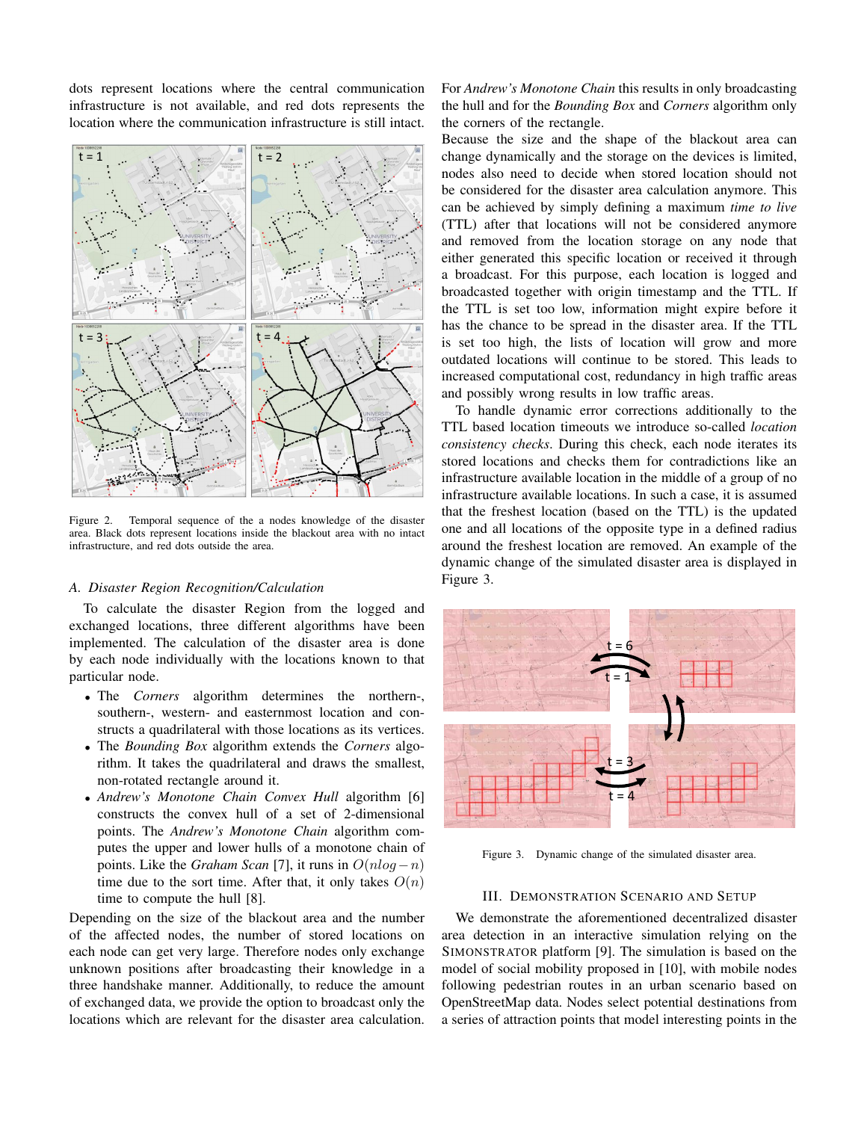dots represent locations where the central communication infrastructure is not available, and red dots represents the location where the communication infrastructure is still intact.



Figure 2. Temporal sequence of the a nodes knowledge of the disaster area. Black dots represent locations inside the blackout area with no intact infrastructure, and red dots outside the area.

### *A. Disaster Region Recognition/Calculation*

To calculate the disaster Region from the logged and exchanged locations, three different algorithms have been implemented. The calculation of the disaster area is done by each node individually with the locations known to that particular node.

- The *Corners* algorithm determines the northern-, southern-, western- and easternmost location and constructs a quadrilateral with those locations as its vertices.
- The *Bounding Box* algorithm extends the *Corners* algorithm. It takes the quadrilateral and draws the smallest, non-rotated rectangle around it.
- *Andrew's Monotone Chain Convex Hull* algorithm [6] constructs the convex hull of a set of 2-dimensional points. The *Andrew's Monotone Chain* algorithm computes the upper and lower hulls of a monotone chain of points. Like the *Graham Scan* [7], it runs in  $O(n \log - n)$ time due to the sort time. After that, it only takes  $O(n)$ time to compute the hull [8].

Depending on the size of the blackout area and the number of the affected nodes, the number of stored locations on each node can get very large. Therefore nodes only exchange unknown positions after broadcasting their knowledge in a three handshake manner. Additionally, to reduce the amount of exchanged data, we provide the option to broadcast only the locations which are relevant for the disaster area calculation. For *Andrew's Monotone Chain* this results in only broadcasting the hull and for the *Bounding Box* and *Corners* algorithm only the corners of the rectangle.

Because the size and the shape of the blackout area can change dynamically and the storage on the devices is limited, nodes also need to decide when stored location should not be considered for the disaster area calculation anymore. This can be achieved by simply defining a maximum *time to live* (TTL) after that locations will not be considered anymore and removed from the location storage on any node that either generated this specific location or received it through a broadcast. For this purpose, each location is logged and broadcasted together with origin timestamp and the TTL. If the TTL is set too low, information might expire before it has the chance to be spread in the disaster area. If the TTL is set too high, the lists of location will grow and more outdated locations will continue to be stored. This leads to increased computational cost, redundancy in high traffic areas and possibly wrong results in low traffic areas.

To handle dynamic error corrections additionally to the TTL based location timeouts we introduce so-called *location consistency checks*. During this check, each node iterates its stored locations and checks them for contradictions like an infrastructure available location in the middle of a group of no infrastructure available locations. In such a case, it is assumed that the freshest location (based on the TTL) is the updated one and all locations of the opposite type in a defined radius around the freshest location are removed. An example of the dynamic change of the simulated disaster area is displayed in Figure 3.



Figure 3. Dynamic change of the simulated disaster area.

## III. DEMONSTRATION SCENARIO AND SETUP

We demonstrate the aforementioned decentralized disaster area detection in an interactive simulation relying on the SIMONSTRATOR platform [9]. The simulation is based on the model of social mobility proposed in [10], with mobile nodes following pedestrian routes in an urban scenario based on OpenStreetMap data. Nodes select potential destinations from a series of attraction points that model interesting points in the